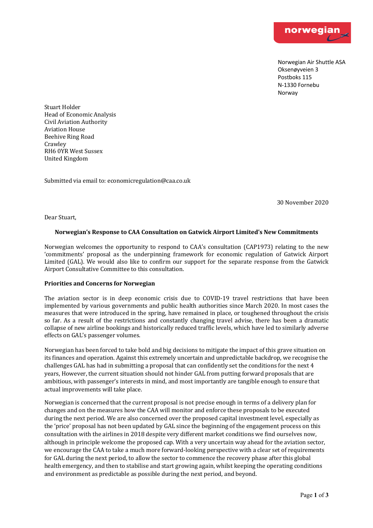

Norwegian Air Shuttle ASA Oksenøyveien 3 Postboks 115 N-1330 Fornebu Norway

Stuart Holder Head of Economic Analysis Civil Aviation Authority Aviation House **Beehive Ring Road** Crawley RH6 0YR West Sussex United Kingdom

Submitted via email to: economicregulation@caa.co.uk

30 November 2020

Dear Stuart,

## **Norwegian's Response to CAA Consultation on Gatwick Airport Limited's New Commitments**

Norwegian welcomes the opportunity to respond to CAA's consultation (CAP1973) relating to the new 'commitments' proposal as the underpinning framework for economic regulation of Gatwick Airport Limited (GAL). We would also like to confirm our support for the separate response from the Gatwick Airport Consultative Committee to this consultation.

## **Priorities and Concerns for Norwegian**

The aviation sector is in deep economic crisis due to COVID-19 travel restrictions that have been implemented by various governments and public health authorities since March 2020. In most cases the measures that were introduced in the spring, have remained in place, or toughened throughout the crisis so far. As a result of the restrictions and constantly changing travel advise, there has been a dramatic collapse of new airline bookings and historically reduced traffic levels, which have led to similarly adverse effects on GAL's passenger volumes.

Norwegian has been forced to take bold and big decisions to mitigate the impact of this grave situation on its finances and operation. Against this extremely uncertain and unpredictable backdrop, we recognise the challenges GAL has had in submitting a proposal that can confidently set the conditions for the next 4 years, However, the current situation should not hinder GAL from putting forward proposals that are ambitious, with passenger's interests in mind, and most importantly are tangible enough to ensure that actual improvements will take place.

Norwegian is concerned that the current proposal is not precise enough in terms of a delivery plan for changes and on the measures how the CAA will monitor and enforce these proposals to be executed during the next period. We are also concerned over the proposed capital investment level, especially as the 'price' proposal has not been updated by GAL since the beginning of the engagement process on this consultation with the airlines in 2018 despite very different market conditions we find ourselves now, although in principle welcome the proposed cap. With a very uncertain way ahead for the aviation sector, we encourage the CAA to take a much more forward-looking perspective with a clear set of requirements for GAL during the next period, to allow the sector to commence the recovery phase after this global health emergency, and then to stabilise and start growing again, whilst keeping the operating conditions and environment as predictable as possible during the next period, and beyond.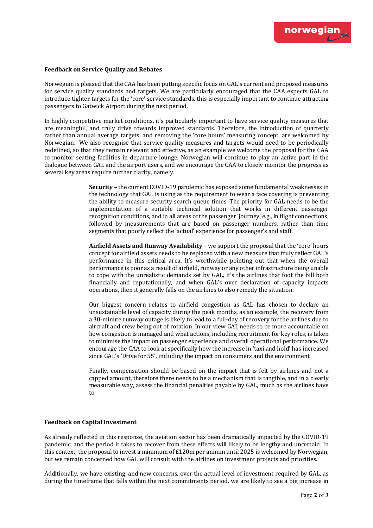

#### **Feedback on Service Quality and Rebates**

Norwegian is pleased that the CAA has been putting specific focus on GAL's current and proposed measures for service quality standards and targets. We are particularly encouraged that the CAA expects GAL to introduce tighter targets for the 'core' service standards, this is especially important to continue attracting passengers to Gatwick Airport during the next period.

In highly competitive market conditions, it's particularly important to have service quality measures that are meaningful, and truly drive towards improved standards. Therefore, the introduction of quarterly rather than annual average targets, and removing the 'core hours' measuring concept, are welcomed by Norwegian. We also recognise that service quality measures and targets would need to be periodically redefined, so that they remain relevant and effective, as an example we welcome the proposal for the CAA to monitor seating facilities in departure lounge. Norwegian will continue to play an active part in the dialogue between GAL and the airport users, and we encourage the CAA to closely monitor the progress as several key areas require further clarity, namely.

> **Security** – the current COVID-19 pandemic has exposed some fundamental weaknesses in the technology that GAL is using as the requirement to wear a face covering is preventing the ability to measure security search queue times. The priority for GAL needs to be the implementation of a suitable technical solution that works in different passenger recognition conditions, and in all areas of the passenger 'journey' e.g., in flight connections, followed by measurements that are based on passenger numbers, rather than time segments that poorly reflect the 'actual' experience for passenger's and staff.

> **Airfield Assets and Runway Availability** – we support the proposal that the 'core' hours concept for airfield assets needs to be replaced with a new measure that truly reflect GAL's performance in this critical area. It's worthwhile pointing out that when the overall performance is poor as a result of airfield, runway or any other infrastructure being unable to cope with the unrealistic demands set by GAL, it's the airlines that foot the bill both financially and reputationally, and when GAL's over declaration of capacity impacts operations, then it generally falls on the airlines to also remedy the situation.

> Our biggest concern relates to airfield congestion as GAL has chosen to declare an unsustainable level of capacity during the peak months, as an example, the recovery from a 30-minute runway outage is likely to lead to a full-day of recovery for the airlines due to aircraft and crew being out of rotation. In our view GAL needs to be more accountable on how congestion is managed and what actions, including recruitment for key roles, is taken to minimise the impact on passenger experience and overall operational performance. We encourage the CAA to look at specifically how the increase in 'taxi and hold' has increased since GAL's 'Drive for 55', including the impact on consumers and the environment.

> Finally, compensation should be based on the impact that is felt by airlines and not a capped amount, therefore there needs to be a mechanism that is tangible, and in a clearly measurable way, assess the financial penalties payable by GAL, much as the airlines have to.

### **Feedback on Capital Investment**

As already reflected in this response, the aviation sector has been dramatically impacted by the COVID-19 pandemic, and the period it takes to recover from these effects will likely to be lengthy and uncertain. In this context, the proposal to invest a minimum of  $£120m$  per annum until 2025 is welcomed by Norwegian, but we remain concerned how GAL will consult with the airlines on investment projects and priorities.

Additionally, we have existing, and new concerns, over the actual level of investment required by GAL, as during the timeframe that falls within the next commitments period, we are likely to see a big increase in